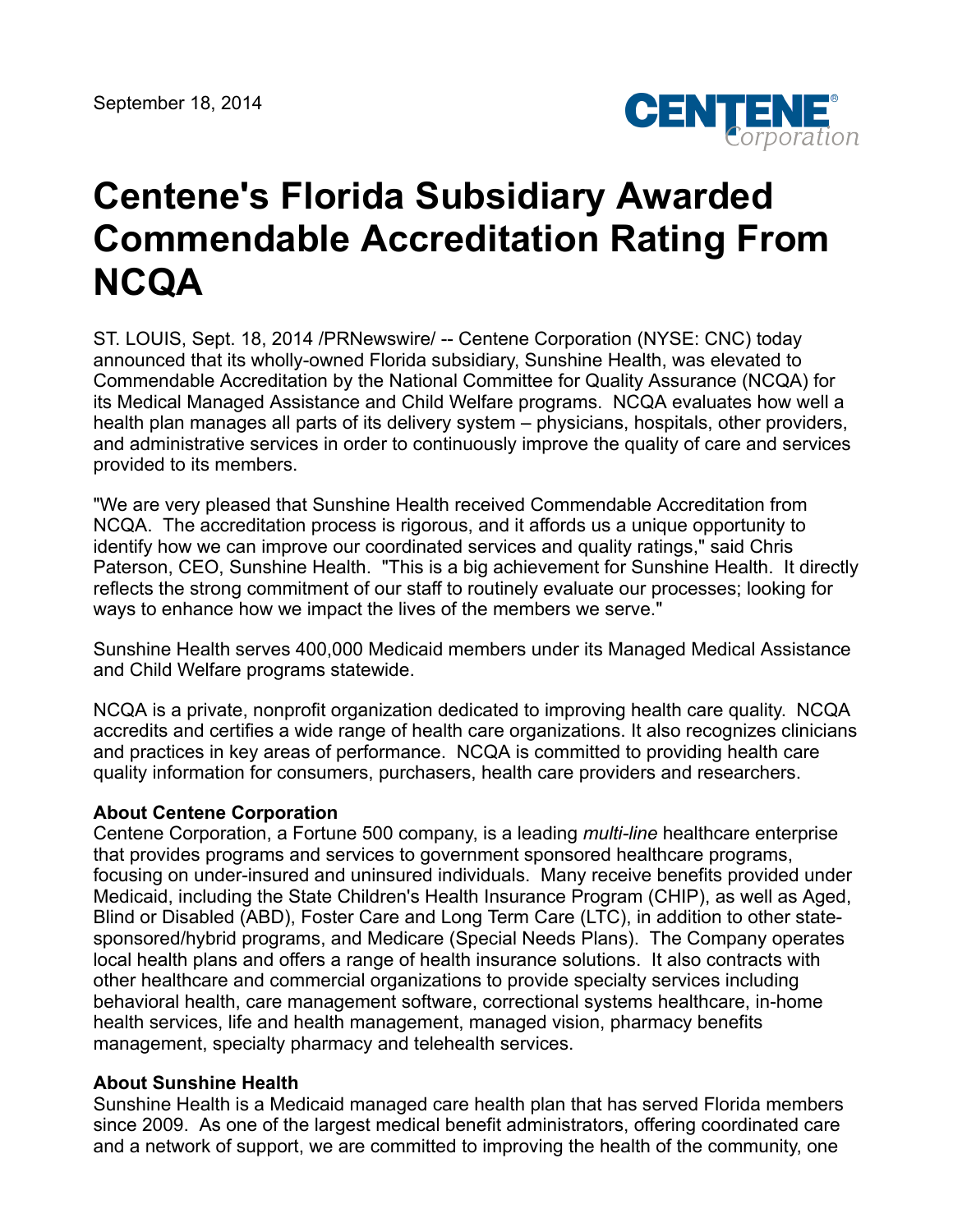

## **Centene's Florida Subsidiary Awarded Commendable Accreditation Rating From NCQA**

ST. LOUIS, Sept. 18, 2014 /PRNewswire/ -- Centene Corporation (NYSE: CNC) today announced that its wholly-owned Florida subsidiary, Sunshine Health, was elevated to Commendable Accreditation by the National Committee for Quality Assurance (NCQA) for its Medical Managed Assistance and Child Welfare programs. NCQA evaluates how well a health plan manages all parts of its delivery system – physicians, hospitals, other providers, and administrative services in order to continuously improve the quality of care and services provided to its members.

"We are very pleased that Sunshine Health received Commendable Accreditation from NCQA. The accreditation process is rigorous, and it affords us a unique opportunity to identify how we can improve our coordinated services and quality ratings," said Chris Paterson, CEO, Sunshine Health. "This is a big achievement for Sunshine Health. It directly reflects the strong commitment of our staff to routinely evaluate our processes; looking for ways to enhance how we impact the lives of the members we serve."

Sunshine Health serves 400,000 Medicaid members under its Managed Medical Assistance and Child Welfare programs statewide.

NCQA is a private, nonprofit organization dedicated to improving health care quality. NCQA accredits and certifies a wide range of health care organizations. It also recognizes clinicians and practices in key areas of performance. NCQA is committed to providing health care quality information for consumers, purchasers, health care providers and researchers.

## **About Centene Corporation**

Centene Corporation, a Fortune 500 company, is a leading *multi-line* healthcare enterprise that provides programs and services to government sponsored healthcare programs, focusing on under-insured and uninsured individuals. Many receive benefits provided under Medicaid, including the State Children's Health Insurance Program (CHIP), as well as Aged, Blind or Disabled (ABD), Foster Care and Long Term Care (LTC), in addition to other statesponsored/hybrid programs, and Medicare (Special Needs Plans). The Company operates local health plans and offers a range of health insurance solutions. It also contracts with other healthcare and commercial organizations to provide specialty services including behavioral health, care management software, correctional systems healthcare, in-home health services, life and health management, managed vision, pharmacy benefits management, specialty pharmacy and telehealth services.

## **About Sunshine Health**

Sunshine Health is a Medicaid managed care health plan that has served Florida members since 2009. As one of the largest medical benefit administrators, offering coordinated care and a network of support, we are committed to improving the health of the community, one